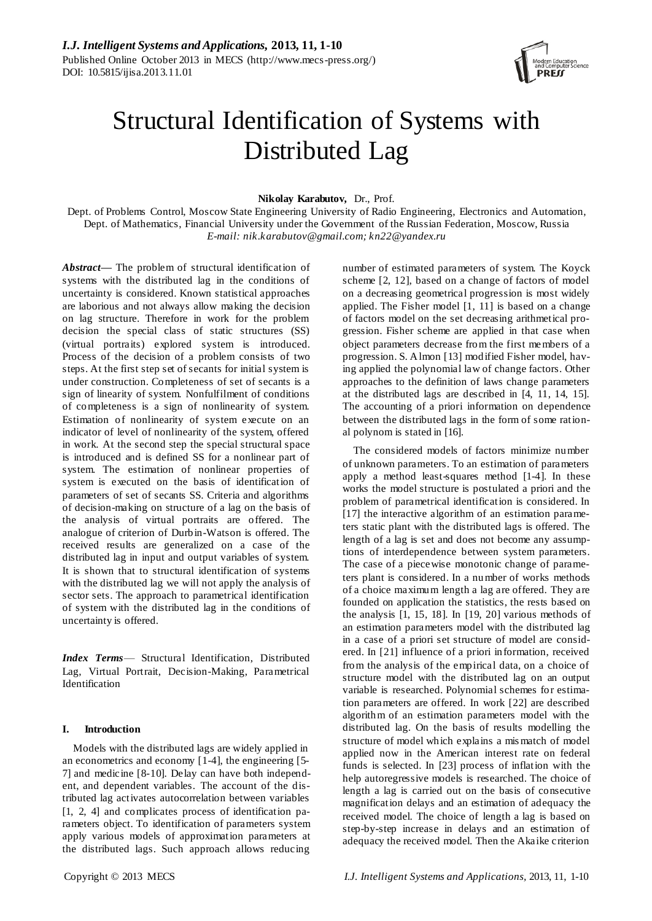

# Structural Identification of Systems with Distributed Lag

**Nikolay Karabutov,** Dr., Prof.

Dept. of Problems Control, Moscow State Engineering University of Radio Engineering, Electronics and Automation, Dept. of Mathematics, Financial University under the Government of the Russian Federation, Moscow, Russia *E-mail: nik.karabutov@gmail.com; kn22@yandex.ru*

*Abstract***—** The problem of structural identification of systems with the distributed lag in the conditions of uncertainty is considered. Known statistical approaches are laborious and not always allow making the decision on lag structure. Therefore in work for the problem decision the special class of static structures (SS) (virtual portraits) explored system is introduced. Process of the decision of a problem consists of two steps. At the first step set of secants for initial system is under construction. Completeness of set of secants is a sign of linearity of system. Nonfulfilment of conditions of completeness is a sign of nonlinearity of system. Estimation of nonlinearity of system execute on an indicator of level of nonlinearity of the system, offered in work. At the second step the special structural space is introduced and is defined SS for a nonlinear part of system. The estimation of nonlinear properties of system is executed on the basis of identification of parameters of set of secants SS. Criteria and algorithms of decision-making on structure of a lag on the basis of the analysis of virtual portraits are offered. The analogue of criterion of Durbin-Watson is offered. The received results are generalized on a case of the distributed lag in input and output variables of system. It is shown that to structural identification of systems with the distributed lag we will not apply the analysis of sector sets. The approach to parametrical identification of system with the distributed lag in the conditions of uncertainty is offered.

*Index Terms*— Structural Identification, Distributed Lag, Virtual Portrait, Decision-Making, Parametrical Identification

## **I. Introduction**

Models with the distributed lags are widely applied in an econometrics and economy [1-4], the engineering [5- 7] and medicine [8-10]. Delay can have both independent, and dependent variables. The account of the distributed lag activates autocorrelation between variables [1, 2, 4] and complicates process of identification parameters object. To identification of parameters system apply various models of approximation parameters at the distributed lags. Such approach allows reducing

number of estimated parameters of system. The Koyck scheme [2, 12], based on a change of factors of model on a decreasing geometrical progression is most widely applied. The Fisher model [1, 11] is based on a change of factors model on the set decreasing arithmetical progression. Fisher scheme are applied in that case when object parameters decrease from the first members of a progression. S. Almon [13] modified Fisher model, having applied the polynomial law of change factors. Other approaches to the definition of laws change parameters at the distributed lags are described in [4, 11, 14, 15]. The accounting of a priori information on dependence between the distributed lags in the form of some rational polynom is stated in [16].

The considered models of factors minimize number of unknown parameters. To an estimation of parameters apply a method least-squares method [1-4]. In these works the model structure is postulated a priori and the problem of parametrical identification is considered. In [17] the interactive algorithm of an estimation parameters static plant with the distributed lags is offered. The length of a lag is set and does not become any assumptions of interdependence between system parameters. The case of a piecewise monotonic change of parameters plant is considered. In a number of works methods of a choice maximum length a lag are offered. They are founded on application the statistics, the rests based on the analysis [1, 15, 18]. In [19, 20] various methods of an estimation parameters model with the distributed lag in a case of a priori set structure of model are considered. In [21] influence of a priori information, received from the analysis of the empirical data, on a choice of structure model with the distributed lag on an output variable is researched. Polynomial schemes for estimation parameters are offered. In work [22] are described algorithm of an estimation parameters model with the distributed lag. On the basis of results modelling the structure of model which explains a mis match of model applied now in the American interest rate on federal funds is selected. In [23] process of inflation with the help autoregressive models is researched. The choice of length a lag is carried out on the basis of consecutive magnification delays and an estimation of adequacy the received model. The choice of length a lag is based on step-by-step increase in delays and an estimation of adequacy the received model. Then the Akaike criterion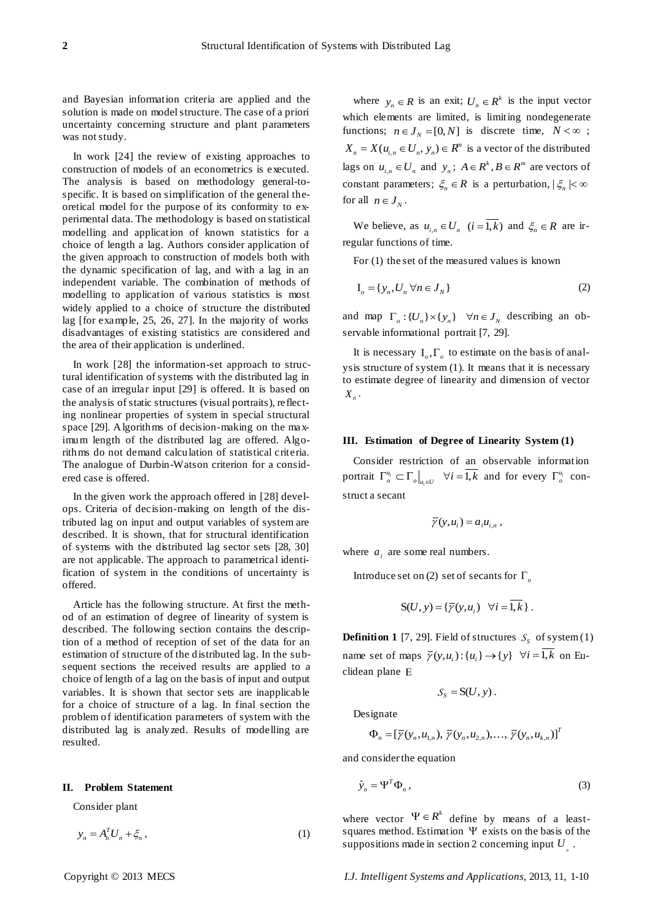and Bayesian information criteria are applied and the solution is made on model structure. The case of a priori uncertainty concerning structure and plant parameters was not study.

In work [24] the review of existing approaches to construction of models of an econometrics is executed. The analysis is based on methodology general-tospecific. It is based on simplification of the general theoretical model for the purpose of its conformity to experimental data. The methodology is based on statistical modelling and application of known statistics for a choice of length a lag. Authors consider application of the given approach to construction of models both with the dynamic specification of lag, and with a lag in an independent variable. The combination of methods of modelling to application of various statistics is most widely applied to a choice of structure the distributed lag [for example, 25, 26, 27]. In the majority of works disadvantages of existing statistics are considered and the area of their application is underlined.

In work [28] the information-set approach to structural identification of systems with the distributed lag in case of an irregular input [29] is offered. It is based on the analysis of static structures (visual portraits), reflecting nonlinear properties of system in special structural space [29]. Algorithms of decision-making on the maximum length of the distributed lag are offered. Algorithms do not demand calculation of statistical criteria. The analogue of Durbin-Watson criterion for a considered case is offered.

In the given work the approach offered in [28] develops. Criteria of decision-making on length of the distributed lag on input and output variables of system are described. It is shown, that for structural identification of systems with the distributed lag sector sets [28, 30] are not applicable. The approach to parametrical identification of system in the conditions of uncertainty is offered.

Article has the following structure. At first the method of an estimation of degree of linearity of system is described. The following section contains the description of a method of reception of set of the data for an estimation of structure of the distributed lag. In the subsequent sections the received results are applied to a choice of length of a lag on the basis of input and output variables. It is shown that sector sets are inapplicable for a choice of structure of a lag. In final section the problem of identification parameters of system with the distributed lag is analyzed. Results of modelling are resulted.

## **II. Problem Statement**

Consider plant

$$
y_n = A_n^T U_n + \xi_n \,,\tag{1}
$$

where  $y_n \in R$  is an exit;  $U_n \in R^k$  is the input vector which elements are limited, is limiting nondegenerate functions;  $n \in J_N = [0, N]$  is discrete time,  $N < \infty$ ;  $X_n = X(u_{i,n} \in U_n, y_n) \in R^n$  is a vector of the distributed lags on  $u_{i,n} \in U_n$  and  $y_n$ ;  $A \in \mathbb{R}^k$ ,  $B \in \mathbb{R}^m$  are vectors of constant parameters;  $\xi_n \in R$  is a perturbation,  $|\xi_n| < \infty$ for all  $n \in J_N$ .

We believe, as  $u_{i,n} \in U_n$   $(i = 1, k)$  and  $\xi_n \in R$  are irregular functions of time.

For (1) the set of the measured values is known

$$
\mathbf{I}_o = \{y_n, U_n \,\forall n \in \mathcal{J}_N\}
$$
\n<sup>(2)</sup>

and map  $\Gamma_o: \{U_n\} \times \{y_n\}$   $\forall n \in J_N$  describing an observable informational portrait [7, 29].

It is necessary  $I_o, \Gamma_o$  to estimate on the basis of analysis structure of system (1). It means that it is necessary to estimate degree of linearity and dimension of vector *X n* .

### **III. Estimation of Degree of Linearity System (1)**

Consider restriction of an observable information portrait  $\Gamma^{\mu_i}_a$ *i*  $\left. \Gamma_o^{u_i} \subset \Gamma_o \right|_{u_i \in U}$   $\forall i = \overline{1,k}$  and for every  $\Gamma_o^{u_i}$  construct a secant

$$
\overline{\gamma}(y, u_i) = a_i u_{i,n},
$$

where  $a_i$  are some real numbers.

Introduce set on (2) set of secants for  $\Gamma_o$ 

$$
S(U, y) = {\overline{\gamma}(y, u_i) \quad \forall i = \overline{1, k}}.
$$

**Definition 1** [7, 29]. Field of structures  $S<sub>S</sub>$  of system (1) name set of maps  $\overline{\gamma}(y, u_i) : \{u_i\} \to \{y\}$   $\forall i = \overline{1, k}$  on Euclidean plane

$$
S_{S} = S(U, y).
$$

Designate

square  
\n
$$
\Phi_n = [\overline{\gamma}(y_n, u_{1,n}), \overline{\gamma}(y_n, u_{2,n}), ..., \overline{\gamma}(y_n, u_{k,n})]^T
$$

and considerthe equation

$$
\hat{y}_n = \Psi^T \Phi_n,\tag{3}
$$

where vector  $\Psi \in R^k$  define by means of a leastsquares method. Estimation  $\Psi$  exists on the basis of the suppositions made in section 2 concerning input  $U_{\text{max}}$ .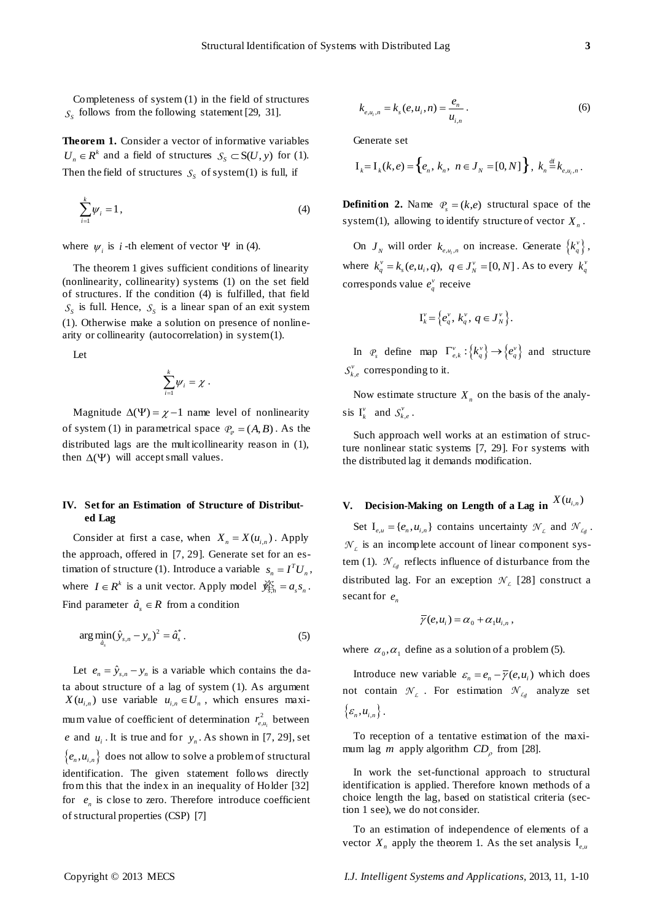Completeness of system (1) in the field of structures  $S<sub>S</sub>$  follows from the following statement [29, 31].

**Theorem 1.** Consider a vector of informative variables  $U_n \in R^k$  and a field of structures  $S_S \subset S(U, y)$  for (1). Then the field of structures  $S<sub>S</sub>$  of system(1) is full, if

$$
\sum_{i=1}^{k} \psi_i = 1, \qquad (4)
$$

where  $\psi_i$  is *i*-th element of vector  $\Psi$  in (4).

The theorem 1 gives sufficient conditions of linearity (nonlinearity, collinearity) systems (1) on the set field of structures. If the condition (4) is fulfilled, that field  $S<sub>S</sub>$  is full. Hence,  $S<sub>S</sub>$  is a linear span of an exit system (1). Otherwise make a solution on presence of nonlinearity or collinearity (autocorrelation) in system (1).

Let

$$
\sum_{i=1}^k \psi_i = \chi.
$$

Magnitude  $\Delta(\Psi) = \chi - 1$  name level of nonlinearity of system (1) in parametrical space  $P_{\varphi} = (A, B)$ . As the distributed lags are the mult icollinearity reason in (1), then  $\Delta(\Psi)$  will accept small values.

## **IV. Set for an Estimation of Structure of Distributed Lag**

Consider at first a case, when  $X_n = X(u_{i,n})$ . Apply the approach, offered in [7, 29]. Generate set for an estimation of structure (1). Introduce a variable  $s_n = I^T U_n$ , where  $I \in \mathbb{R}^k$  is a unit vector. Apply model  $\hat{\mathcal{F}}_{\overline{s},n} = a_s s_n$ . Find parameter  $\hat{a}_s \in R$  from a condition

$$
\arg\min_{\hat{a}_s} (\hat{y}_{s,n} - y_n)^2 = \hat{a}_s^* \,. \tag{5}
$$

Let  $e_n = \hat{y}_{s,n} - y_n$  is a variable which contains the data about structure of a lag of system (1). As argument  $X(u_{i,n})$  use variable  $u_{i,n} \in U_n$ , which ensures maximum value of coefficient of determination  $r_{e,u_i}^2$  between *e* and  $u_i$ . It is true and for  $y_n$ . As shown in [7, 29], set  ${e_n, u_{i,n}}$  does not allow to solve a problem of structural identification. The given statement follows directly from this that the index in an inequality of Holder [32] for  $e_n$  is close to zero. Therefore introduce coefficient of structural properties (CSP) [7]

$$
k_{e,u_i,n} = k_s(e,u_i,n) = \frac{e_n}{u_{i,n}}.
$$
 (6)

Generate set

$$
\begin{aligned} \text{Generate set} \\ \mathbf{I}_k &= \mathbf{I}_k(k, e) = \left\{ e_n, \, k_n, \, n \in J_N = [0, N] \right\}, \, k_n \stackrel{\text{df}}{=} k_{e, u_i, n} \,. \end{aligned}
$$

**Definition 2.** Name  $\mathcal{P}_s = (k, e)$  structural space of the system(1), allowing to identify structure of vector  $X_n$ .

On  $J_N$  will order  $k_{e,u_i,n}$  on increase. Generate  $\{k_q^v\}$ , where  $k_q^v = k_s(e, u_i, q)$ ,  $q \in J_N^v = [0, N]$ . As to every  $k_q^v$ corresponds value  $e_q^v$  receive

$$
\mathbf{I}_{k}^{\nu} = \left\{ e_{q}^{\nu}, \, k_{q}^{\nu}, \, q \in \mathbf{J}_{N}^{\nu} \right\}.
$$

In  $\mathcal{P}_s$  define map  $\Gamma_{e,k}^{\nu}$  :  $\{k_q^{\nu}\}\rightarrow \{e_q^{\nu}\}\$  and structure  $S_{k,e}^{\nu}$  corresponding to it.

Now estimate structure  $X_n$  on the basis of the analysis  $I_k^{\nu}$  and  $S_{k,e}^{\nu}$ .

Such approach well works at an estimation of structure nonlinear static systems [7, 29]. For systems with the distributed lag it demands modification.

## **V.** Decision-Making on Length of a Lag in  $X(u_{i,n})$

Set  $I_{e,u} = \{e_n, u_{i,n}\}\)$  contains uncertainty  $\mathcal{N}_L$  and  $\mathcal{N}_{Lg}$ .  $\mathcal{N}_L$  is an incomplete account of linear component system (1).  $\mathcal{N}_{Lg}$  reflects influence of disturbance from the distributed lag. For an exception  $\mathcal{N}_L$  [28] construct a secant for  $e_n$ 

$$
\overline{\gamma}(e,u_i) = \alpha_0 + \alpha_1 u_{i,n},
$$

where  $\alpha_0, \alpha_1$  define as a solution of a problem (5).

Introduce new variable  $\varepsilon_n = e_n - \overline{\gamma}(e, u_i)$  which does not contain  $\mathcal{N}_L$ . For estimation  $\mathcal{N}_{Lg}$  analyze set  $\{\varepsilon_n, u_{i,n}\}.$ 

To reception of a tentative estimation of the maximum lag *m* apply algorithm  $CD_\rho$  from [28].

In work the set-functional approach to structural identification is applied. Therefore known methods of a choice length the lag, based on statistical criteria (section 1 see), we do not consider.

To an estimation of independence of elements of a vector  $X_n$  apply the theorem 1. As the set analysis  $I_{e,\mu}$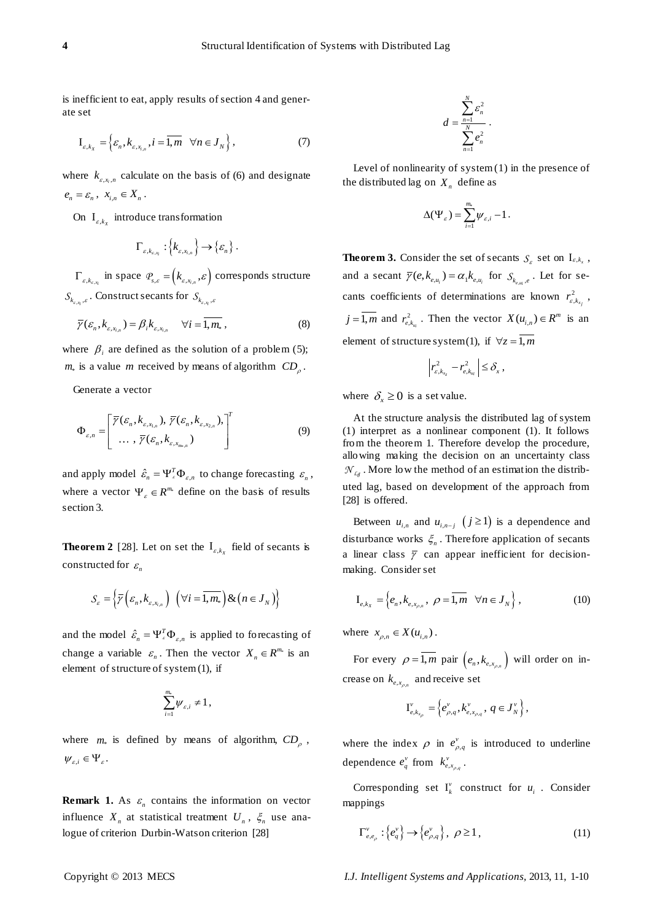is inefficient to eat, apply results of section 4 and generate set

$$
\mathbf{I}_{\varepsilon,k_{\chi}} = \left\{ \varepsilon_n, k_{\varepsilon,x_{i,n}}, i = \overline{1,m} \quad \forall n \in J_N \right\},\tag{7}
$$

where  $k_{s,x_i,n}$  calculate on the basis of (6) and designate  $e_n = \varepsilon_n, \quad x_{i,n} \in X_n$ .

On  $I_{\varepsilon, k_x}$  introduce transformation

$$
\Gamma_{\varepsilon,k_{\varepsilon,x_i}}:\{\big\{k_{\varepsilon,x_{i,n}}\big\}\to{\varepsilon_n}\}.
$$

 $\Gamma_{\varepsilon, k_{\varepsilon, x_i}}$  in space  $\mathcal{P}_{s, \varepsilon} = (k_{\varepsilon, x_{i,n}}, \varepsilon)$  corresponds structure  $\mathcal{S}_{k_{\varepsilon,x_i},\varepsilon}$ . Construct secants for  $\mathcal{S}_{k_{\varepsilon,x_i},\varepsilon}$ 

$$
\overline{\gamma}(\varepsilon_n, k_{\varepsilon, x_{i,n}}) = \beta_i k_{\varepsilon, x_{i,n}} \quad \forall i = \overline{1, m_*},
$$
\n(8)

where  $\beta_i$  are defined as the solution of a problem (5);  $m_*$  is a value *m* received by means of algorithm  $CD_\rho$ .

Generate a vector

$$
\Phi_{\varepsilon,n} = \left[ \frac{\overline{\gamma}(\varepsilon_n, k_{\varepsilon, x_{1,n}}), \overline{\gamma}(\varepsilon_n, k_{\varepsilon, x_{2,n}}),}{\cdots, \overline{\gamma}(\varepsilon_n, k_{\varepsilon, x_{m,n}})} \right]^T
$$
\n(9)

and apply model  $\hat{\epsilon}_n = \Psi_{\epsilon}^T \Phi_{\epsilon,n}$  to change forecasting  $\epsilon_n$ , where a vector  $\Psi_{\varepsilon} \in R^{m_{\varepsilon}}$  define on the basis of results section 3.

**Theorem 2** [28]. Let on set the  $I_{\varepsilon, k_x}$  field of secants is constructed for  $\varepsilon_n$ 

$$
S_{\varepsilon} = \left\{ \overline{\gamma} \left( \varepsilon_n, k_{\varepsilon, x_{i,n}} \right) \left( \forall i = \overline{1, m_*} \right) \& \left( n \in J_N \right) \right\}
$$

and the model  $\hat{\mathcal{E}}_n = \Psi_{\varepsilon}^T \Phi_{\varepsilon,n}$  is applied to forecasting of change a variable  $\varepsilon_n$ . Then the vector  $X_n \in \mathbb{R}^{m_n}$  is an element of structure of system (1), if

$$
\sum_{i=1}^{m_*} \psi_{\varepsilon,i} \neq 1\,,
$$

where  $m_*$  is defined by means of algorithm,  $CD_\rho$ ,  $W_{\varepsilon,i} \in \Psi_{\varepsilon}.$ 

**Remark 1.** As  $\varepsilon_n$  contains the information on vector influence  $X_n$  at statistical treatment  $U_n$ ,  $\zeta_n$  use analogue of criterion Durbin-Watson criterion [28]

$$
d=\frac{\sum_{n=1}^N \varepsilon_n^2}{\sum_{n=1}^N e_n^2}.
$$

Level of nonlinearity of system (1) in the presence of the distributed lag on  $X_n$  define as

$$
\Delta(\Psi_{\varepsilon})=\sum_{i=1}^{m_{\varepsilon}}\psi_{\varepsilon,i}-1.
$$

**Theorem 3.** Consider the set of secants  $S_{\varepsilon}$  set on  $I_{\varepsilon,k_{x}}$ , and a secant  $\overline{\gamma}(e, k_{e, u_i}) = \alpha_1 k_{e, u_i}$  for  $S_{k_{e, u_i}, e}$ . Let for secants coefficients of determinations are known  $r_{\varepsilon,k_{x_j}}^2$ ,  $j = \overline{1,m}$  and  $r_{e,k_{ni}}^2$ . Then the vector  $X(u_{i,n}) \in R^m$  is an element of structure system(1), if  $\forall z = 1, m$ 

$$
\left|r_{\varepsilon,k_{x_z}}^2-r_{\varepsilon,k_{ui}}^2\right|\leq \delta_x,
$$

where  $\delta_x \ge 0$  is a set value.

At the structure analysis the distributed lag of system (1) interpret as a nonlinear component (1). It follows from the theorem 1. Therefore develop the procedure, allowing making the decision on an uncertainty class  $\mathcal{N}_{Lg}$ . More low the method of an estimation the distributed lag, based on development of the approach from [28] is offered.

Between  $u_{i,n}$  and  $u_{i,n-j}$   $(j \ge 1)$  is a dependence and disturbance works  $\xi_n$ . Therefore application of secants a linear class  $\bar{y}$  can appear inefficient for decisionmaking. Consider set

$$
\mathbf{I}_{e,k_{X}} = \left\{ e_{n}, k_{e,x_{\rho,n}}, \ \rho = \overline{1,m} \ \forall n \in J_{N} \right\},\tag{10}
$$

where  $x_{\rho,n} \in X(u_{i,n})$ .

For every  $\rho = 1, m$  pair  $(e_n, k_{e,x_{\rho,n}})$  will order on increase on  $k_{e,x_{\rho,n}}$  and receive set

$$
\mathbf{I}_{e,k_{x_{\rho}}}^{\nu} = \left\{ e_{\rho,q}^{\nu}, k_{e,x_{\rho,q}}^{\nu}, \ q \in J_{N}^{\nu} \right\},\
$$

where the index  $\rho$  in  $e_{\rho,q}^{\nu}$  is introduced to underline dependence  $e_q^v$  from  $k_{e,x_{\rho,q}}^v$ .

Corresponding set  $I_k^{\nu}$  construct for  $u_i$ . Consider mappings

$$
\Gamma_{e,e_{\rho}}^{\nu}:\left\{e_{q}^{\nu}\right\}\to\left\{e_{\rho,q}^{\nu}\right\},\ \rho\geq1\,,\tag{11}
$$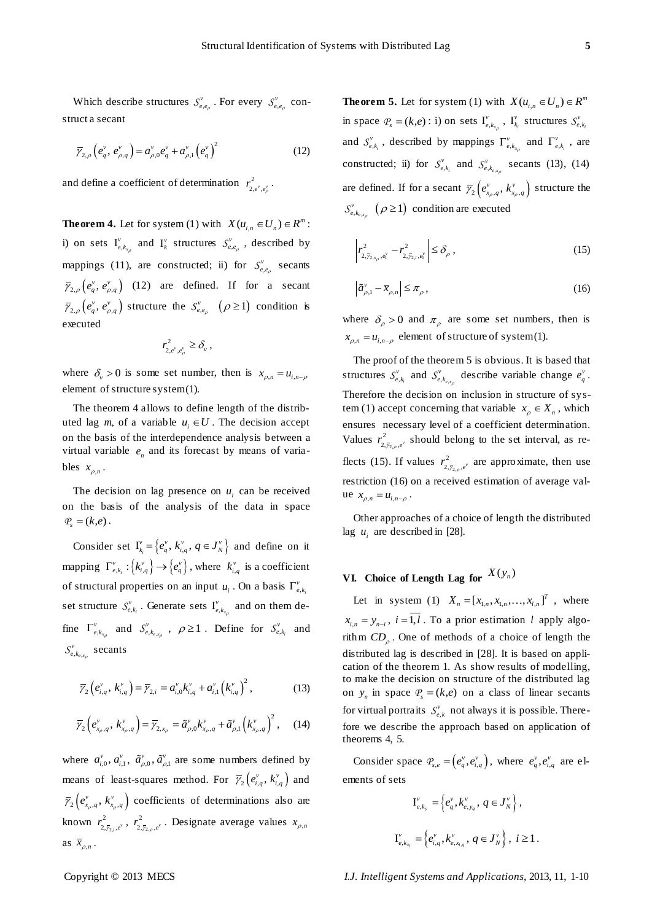Which describe structures  $S_{e,e_p}^v$ . For every  $S_{e,e_p}^v$  construct a secant

$$
\overline{\gamma}_{2,\rho}\left(e_q^{\nu},\,e_{\rho,q}^{\nu}\right)=a_{\rho,0}^{\nu}e_q^{\nu}+a_{\rho,1}^{\nu}\left(e_q^{\nu}\right)^2\tag{12}
$$

ρ

and define a coefficient of determination  $r_{2,e^{\nu},e^{\nu}_{\nu}}^2$ .

**Theorem 4.** Let for system (1) with  $X(u_{i,n} \in U_n) \in R^m$ : i) on sets  $I_{e,k_x}^{\nu}$  $v_{e,k_{x_{\rho}}}$  and  $\Gamma_k^{\nu}$  structures  $S_{e,e_{\rho}}^{\nu}$ , described by mappings (11), are constructed; ii) for  $S_{e,e}^{v}$  secants  $\overline{\gamma}_{2,\rho}\left(e_q^{\nu}, e_{\rho,q}^{\nu}\right)$  (12) are defined. If for a secant  $\overline{\gamma}_{2,\rho}\left(e_q^{\nu}, e_{\rho,q}^{\nu}\right)$  structure the  $S_{e,e_\rho}^{\nu}\left(\rho \geq 1\right)$  condition is executed

$$
r_{2,e^v,e^v_{\rho}}^2 \geq \delta_v,
$$

where  $\delta_{\nu} > 0$  is some set number, then is  $x_{\rho,n} = u_{i,n-\rho}$ element of structure system (1).

The theorem 4 allows to define length of the distributed lag  $m_*$  of a variable  $u_i \in U$ . The decision accept on the basis of the interdependence analysis between a virtual variable  $e_n$  and its forecast by means of variables  $x_{\rho,n}$ .

The decision on lag presence on  $u_i$  can be received on the basis of the analysis of the data in space  $P_{s} = (k, e)$ .

Consider set  $I_{k_i}^v = \{e_q^v, k_{i,q}^v, q \in J_N^v\}$  and define on it mapping  $\Gamma_{e,k_i}^{\nu}$  :  $\{k_{i,q}^{\nu}\}\rightarrow \{e_q^{\nu}\}\$ , where  $k_{i,q}^{\nu}$  is a coefficient of structural properties on an input  $u_i$ . On a basis  $\Gamma_{e,k_i}^{\nu}$ set structure  $S_{e,k_i}^v$  $S_{e,k_i}^v$ . Generate sets  $I_{e,k_x}^v$  $\int_{e,k_{x_{\rho}}}^{\nu}$  and on them define  $\Gamma_{e,k_{x}}^{v}$  $\Gamma_{e,k_{x,p}}^{\nu}$  and  $S_{e,k_{e,x}}^{\nu}$  $S_{e,k_{e,x_p}}^v$ ,  $\rho \ge 1$ . Define for  $S_{e,k_i}^v$  $S_{e,k_i}^{\nu}$  and , , *e x*  $S_{e, k_{e, x_{\rho}}}^{v}$  secants

$$
\overline{\gamma}_{2}\left(e_{i,q}^{v}, k_{i,q}^{v}\right) = \overline{\gamma}_{2,i} = a_{i,0}^{v}k_{i,q}^{v} + a_{i,1}^{v}\left(k_{i,q}^{v}\right)^{2}, \qquad (13)
$$

$$
\overline{\gamma}_{2}\left(e_{x_{\rho},q}^{\nu},k_{x_{\rho},q}^{\nu}\right)=\overline{\gamma}_{2,x_{\rho}}=\widetilde{a}_{\rho,0}^{\nu}k_{x_{\rho},q}^{\nu}+\widetilde{a}_{\rho,1}^{\nu}\left(k_{x_{\rho},q}^{\nu}\right)^{2},\quad(14)
$$

where  $a_{i,0}^{\nu}, a_{i,1}^{\nu}, \tilde{a}_{\rho,0}^{\nu}, \tilde{a}_{\rho,1}^{\nu}$  are some numbers defined by means of least-squares method. For  $\bar{\gamma}_2(e_{i,q}^v, k_{i,q}^v)$  and  $\overline{\gamma}_2 \left( e_{x_p,q}^v, k_{x_p,q}^v \right)$  coefficients of determinations also are known  $r_{2,\bar{r}_2}^2$  $r_{2,\bar{y}_{2,i},e^{\nu}}^2$ ,  $r_{2,\bar{y}_{2,i}}^2$  $r_{2, \bar{y}_{2,\rho}, e^{\nu}}^2$ . Designate average values  $x_{\rho, n}$ as  $\bar{x}_{\rho,n}$ .

**Theorem 5.** Let for system (1) with  $X(u_{i,n} \in U_n) \in R^m$ in space  $\mathcal{P}_s = (k, e) : \mathbf{i}$  on sets  $\mathbf{I}_{e,k_s}^{\nu}$  $\frac{v}{e,k_{x_{\rho}}}$ ,  $\mathbf{I}_{k_i}^v$  $\int_{k_i}^v$  structures  $S_{e,k_i}^v$  $S_{e,k}^{\nu}$ and  $S_{e,k}^{\nu}$  $S_{e,k_i}^v$ , described by mappings  $\Gamma_{e,k_i}^v$  $\Gamma_{e,k_{x_p}}^{\nu}$  and  $\Gamma_{e,k_i}^{\nu}$ , are constructed; ii) for  $S_{e,k}^{\nu}$  $S_{e,k_i}^v$  and  $S_{e,k_{e,s}}^v$  $S_{e, k_{e, x_{\rho}}}^{v}$  secants (13), (14) are defined. If for a secant  $\overline{\gamma}_2 \left( e_{x_\rho,q}^{\nu}, k_{x_\rho,q}^{\nu} \right)$  structure the  $,k_{e}$ <sub>x</sub>  $S_{e,k_{\text{max}}}^{\nu}$  ( $\rho \ge 1$ ) condition are executed  $_{\rho}$ 

$$
\left| r_{2,\bar{\gamma}_{2,x_{\rho}},e_1^{\nu}}^2 - r_{2,\bar{\gamma}_{2,\rho},e_1^{\nu}}^2 \right| \leq \delta_{\rho} , \qquad (15)
$$

$$
\left|\tilde{a}_{\rho,1}^{\nu}-\overline{x}_{\rho,n}\right|\leq\pi_{\rho},\tag{16}
$$

where  $\delta_{\rho} > 0$  and  $\pi_{\rho}$  are some set numbers, then is  $x_{\rho,n} = u_{i,n-\rho}$  element of structure of system (1).

The proof of the theorem 5 is obvious. It is based that structures  $S_{e,k}^{\nu}$  $S_{e,k_i}^{\nu}$  and  $S_{e,k_{e,s}}^{\nu}$  $S_{e,k_{e,n}}^{v}$  describe variable change  $e_q^{v}$ . ρ Therefore the decision on inclusion in structure of system (1) accept concerning that variable  $x_{\rho} \in X_n$ , which ensures necessary level of a coefficient determination. Values  $r_{2,\bar{r}_2}^2$  $r_{2,\bar{z}_{2,\rho},e^{\nu}}^2$  should belong to the set interval, as reflects (15). If values  $r_{2,\bar{r}_2}^2$  $r_{2,\bar{y}_{2,\rho},e^{\nu}}^2$  are approximate, then use restriction (16) on a received estimation of average value  $x_{\rho,n} = u_{i,n-\rho}$ .

Other approaches of a choice of length the distributed lag  $u_i$  are described in [28].

## **VL** Choice of Length Lag for  $X(y_n)$

Let in system (1)  $X_n = [x_{1,n}, x_{1,n},..., x_{l,n}]^T$ , where  $x_{i,n} = y_{n-i}$ ,  $i = 1, l$ . To a prior estimation l apply algorithm  $CD_\rho$ . One of methods of a choice of length the distributed lag is described in [28]. It is based on application of the theorem 1. As show results of modelling, to make the decision on structure of the distributed lag on  $y_n$  in space  $P_s = (k,e)$  on a class of linear secants for virtual portraits  $S_{e,k}^{\nu}$  not always it is possible. Therefore we describe the approach based on application of theorems 4, 5.

Consider space  $P_{s,e} = (e_q^v, e_{i,q}^v)$ , where  $e_q^v, e_{i,q}^v$  are elements of sets

$$
I_{e,k_y}^v = \left\{ e_q^v, k_{e,y_q}^v, q \in J_N^v \right\},
$$
  

$$
I_{e,k_{x_i}}^v = \left\{ e_{i,q}^v, k_{e,x_{i,q}}^v, q \in J_N^v \right\}, i \ge 1.
$$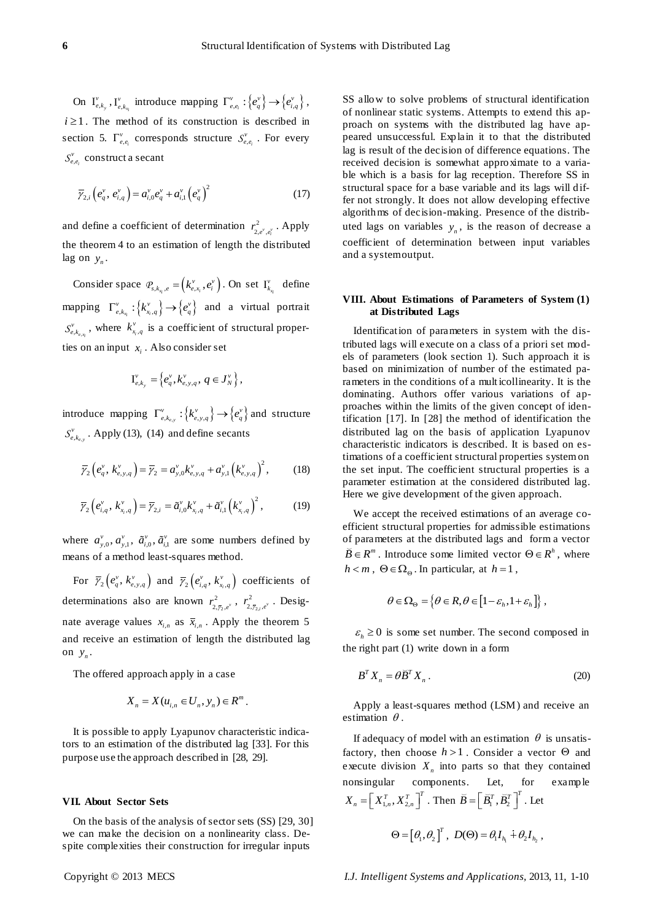On  $I_{e,k_y}^{\nu}$  $_{e,k_y}^{\nu}$ ,  $I_{e,k_{x_i}}^{\nu}$  $v_{e,k_{x}}$  introduce mapping  $\Gamma_{e,e_i}^{\nu}$  :  $\{e_q^{\nu}\} \rightarrow \{e_{i,q}^{\nu}\},$  $i \geq 1$ . The method of its construction is described in section 5.  $\Gamma_{e,e_i}^{\nu}$  corresponds structure  $S_{e,e_i}^{\nu}$  $S_{e,e_i}^v$ . For every , *i*  $S_{e,e_i}^{\nu}$  construct a secant

$$
\overline{\gamma}_{2,i}\left(e_q^{\nu},\,e_{i,q}^{\nu}\right)=a_{i,0}^{\nu}e_q^{\nu}+a_{i,1}^{\nu}\left(e_q^{\nu}\right)^2\tag{17}
$$

and define a coefficient of determination  $r_{2,e^{\gamma},e^{\gamma}}^2$ . Apply the theorem 4 to an estimation of length the distributed lag on  $y_n$ .

Consider space  $\mathcal{P}_{s,k_{x_i},e} = (k_{e,x_i}^v, e_i^v)$ . On set  $I_{k_{x_i}}^v$  $\int_{k_{\text{R}}}^{\nu}$  define mapping  $\Gamma^{\nu}_{e,k_{x_i}} : \{k^{\nu}_{x_i,q}\} \rightarrow \{e^{\nu}_{q}\}\$  and a virtual portrait , , *e xi*  $S_{e,k_{e,x_i}}^v$ , where  $k_{x_i}^v$ ,  $k_{x_i,q}^v$  is a coefficient of structural properties on an input  $x_i$ . Also consider set

$$
\mathbf{I}_{e,k_{y}}^{v}=\left\{ e_{q}^{v},k_{e,y,q}^{v},\,q\in J_{N}^{v}\right\} ,
$$

introduce mapping  $\Gamma_{e,k_{e,y}}^{\nu}$ :  $\{k_{e,y,q}^{\nu}\}\rightarrow \{e_q^{\nu}\}\$  and structure , , *e y*  $S_{e,k_{e,v}}^{v}$ . Apply (13), (14) and define secants

$$
\overline{\gamma}_{2}\left(e_{q}^{v}, k_{e,y,q}^{v}\right) = \overline{\gamma}_{2} = a_{y,0}^{v}k_{e,y,q}^{v} + a_{y,1}^{v}\left(k_{e,y,q}^{v}\right)^{2},\qquad(18)
$$

$$
\overline{\gamma}_{2}\left(e_{i,q}^{v}, k_{x_{i},q}^{v}\right) = \overline{\gamma}_{2,i} = \tilde{a}_{i,0}^{v}k_{x_{i},q}^{v} + \tilde{a}_{i,1}^{v}\left(k_{x_{i},q}^{v}\right)^{2}, \qquad (19)
$$

where  $a_{y,0}^{\nu}, a_{y,1}^{\nu}, \tilde{a}_{i,0}^{\nu}, \tilde{a}_{i,1}^{\nu}$  are some numbers defined by means of a method least-squares method.

For  $\overline{\gamma}_2(e_q^v, k_{e,y,q}^v)$  and  $\overline{\gamma}_2(e_{i,q}^v, k_{x_i,q}^v)$  coefficients of determinations also are known  $r_{2,\bar{r}_2}^2$  $r_{2, \bar{\gamma}_2,e^{\nu}}^2$  ,  $r_{2, \bar{\gamma}_2}^2$  $r_{2,\bar{y}_{2,i},e^{\nu}}^2$ . Designate average values  $x_{i,n}$  as  $\overline{x}_{i,n}$ . Apply the theorem 5 and receive an estimation of length the distributed lag on  $y_n$ .

The offered approach apply in a case

$$
X_n = X(u_{i,n} \in U_n, y_n) \in R^m.
$$

It is possible to apply Lyapunov characteristic indicators to an estimation of the distributed lag [33]. For this purpose use the approach described in [28, 29].

## **VII. About Sector Sets**

On the basis of the analysis of sector sets (SS) [29, 30] we can make the decision on a nonlinearity class. Despite complexities their construction for irregular inputs

SS allow to solve problems of structural identification of nonlinear static systems. Attempts to extend this approach on systems with the distributed lag have appeared unsuccessful. Explain it to that the distributed lag is result of the decision of difference equations. The received decision is somewhat approximate to a variable which is a basis for lag reception. Therefore SS in structural space for a base variable and its lags will differ not strongly. It does not allow developing effective algorithms of decision-making. Presence of the distributed lags on variables  $y_n$ , is the reason of decrease a coefficient of determination between input variables and a system output.

## **VIII. About Estimations of Parameters of System (1) at Distributed Lags**

Identification of parameters in system with the distributed lags will execute on a class of a priori set models of parameters (look section 1). Such approach it is based on minimization of number of the estimated parameters in the conditions of a mult icollinearity. It is the dominating. Authors offer various variations of approaches within the limits of the given concept of identification [17]. In [28] the method of identification the distributed lag on the basis of application Lyapunov characteristic indicators is described. It is based on estimations of a coefficient structural properties system on the set input. The coefficient structural properties is a parameter estimation at the considered distributed lag. Here we give development of the given approach.

We accept the received estimations of an average coefficient structural properties for admissible estimations of parameters at the distributed lags and form a vector  $\overline{B} \in R^m$ . Introduce some limited vector  $\Theta \in R^h$ , where  $h < m$ ,  $\Theta \in \Omega_{\Theta}$ . In particular, at  $h = 1$ ,

$$
\theta \in \Omega_{\Theta} = \left\{ \theta \in R, \theta \in \left[1 - \varepsilon_h, 1 + \varepsilon_h \right] \right\},\
$$

 $\varepsilon_h \geq 0$  is some set number. The second composed in the right part (1) write down in a form

$$
B^T X_n = \theta \overline{B}^T X_n \,. \tag{20}
$$

Apply a least-squares method (LSM) and receive an estimation  $\theta$ .

If adequacy of model with an estimation  $\theta$  is unsatisfactory, then choose  $h > 1$ . Consider a vector  $\Theta$  and execute division  $X_n$  into parts so that they contained nonsingular components. Let, for example  $X_n = \left[ \ X_{1,n}^T, X_{2,n}^T \right]^T$ . Then  $\vec{B} = \left[ \vec{B}_1^T, \vec{B}_2^T \right]^T$ . Let

$$
\Theta = \left[\theta_{1}, \theta_{2}\right]^{T}, \ D(\Theta) = \theta_{1} I_{h_{1}} \dotplus \theta_{2} I_{h_{2}} ,
$$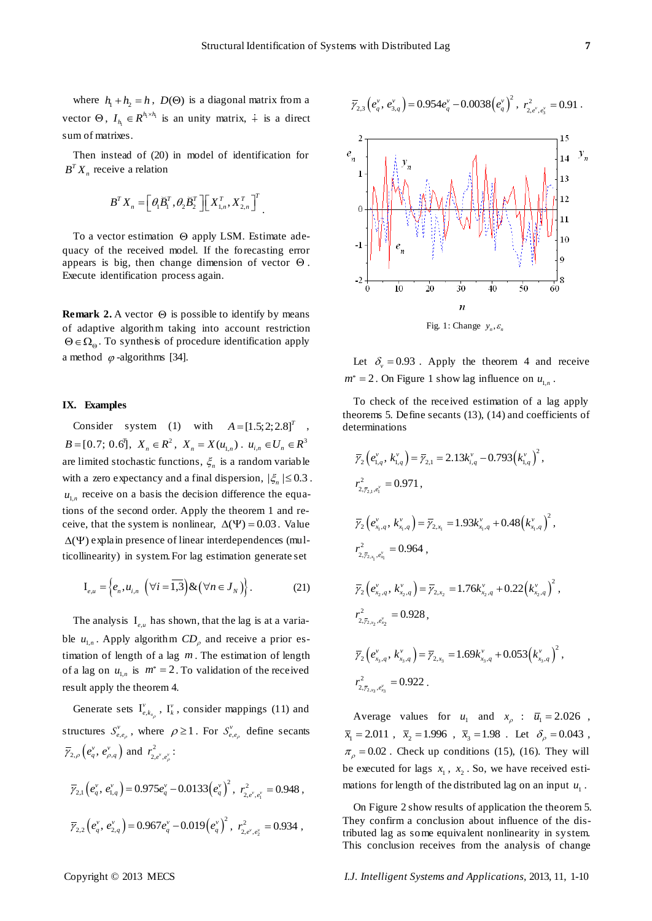where  $h_1 + h_2 = h$ ,  $D(\Theta)$  is a diagonal matrix from a vector  $\Theta$ ,  $I_{h_1} \in R^{h_1 \times h_1}$  $I_{h_i} \in R^{h_i \times h_i}$  is an unity matrix,  $\dot{+}$  is a direct sum of matrixes.

Then instead of (20) in model of identification for  $B^T X_n$  receive a relation

$$
\boldsymbol{B}^T \boldsymbol{X}_n = \left[ \boldsymbol{\theta}_1 \boldsymbol{\breve{B}}_1^T, \boldsymbol{\theta}_2 \boldsymbol{\breve{B}}_2^T \right] \left[ \boldsymbol{X}_{1,n}^T, \boldsymbol{X}_{2,n}^T \right]^T.
$$

To a vector estimation  $\Theta$  apply LSM. Estimate adequacy of the received model. If the forecasting error appears is big, then change dimension of vector  $\Theta$ . Execute identification process again.

**Remark** 2. A vector  $\Theta$  is possible to identify by means of adaptive algorithm taking into account restriction  $\Theta \in \Omega_{\Theta}$ . To synthesis of procedure identification apply a method  $\varphi$ -algorithms [34].

### **IX. Examples**

Consider system (1) with  $A = \begin{bmatrix} 1.5; 2; 2.8 \end{bmatrix}^T$ ,  $B = [0.7; 0.6^{\text{T}}]$ ,  $X_n \in R^2$ ,  $X_n = X(u_{1,n})$ .  $u_{i,n} \in U_n \in R^3$ are limited stochastic functions,  $\xi_n$  is a random variable with a zero expectancy and a final dispersion,  $|\xi_n| \leq 0.3$ .  $u_{1,n}$  receive on a basis the decision difference the equations of the second order. Apply the theorem 1 and receive, that the system is nonlinear,  $\Delta(\Psi) = 0.03$ . Value  $\Delta(\Psi)$  explain presence of linear interdependences (multicollinearity) in system. For lag estimation generate set

$$
\mathbf{I}_{e,u} = \left\{ e_n, u_{i,n} \left( \forall i = \overline{1,3} \right) \& \left( \forall n \in J_N \right) \right\}.
$$
 (21)

The analysis  $I_{e,\mu}$  has shown, that the lag is at a variable  $u_{1,n}$ . Apply algorithm  $CD_\rho$  and receive a prior estimation of length of a lag *m* . The estimation of length of a lag on  $u_{1,n}$  is  $m^* = 2$ . To validation of the received result apply the theorem 4.

Generate sets  $I_{e,k_{x}}^{v}$  $v_{e,k_{x}}$ ,  $\Gamma_k^{\nu}$ , consider mappings (11) and ρ structures  $S_{e,e_{\rho}}^{v}$ , where  $\rho \ge 1$ . For  $S_{e,e_{\rho}}^{v}$  define secants  $\bar{\gamma}_{2,\rho}\left(e_q^{\nu}, e_{\rho,q}^{\nu}\right)$  and  $r_{2,e^{\nu},e_{\rho}^{\nu}}^2$ :

$$
\overline{\gamma}_{2,1} (e_q^v, e_{1,q}^v) = 0.975 e_q^v - 0.0133 (e_q^v)^2, r_{2,e^v, e_1^v}^2 = 0.948,
$$
  

$$
\overline{\gamma}_{2,2} (e_q^v, e_{2,q}^v) = 0.967 e_q^v - 0.019 (e_q^v)^2, r_{2,e^v, e_2^v}^2 = 0.934,
$$



Let  $\delta_v = 0.93$ . Apply the theorem 4 and receive  $m^* = 2$ . On Figure 1 show lag influence on  $u_{1,n}$ .

To check of the received estimation of a lag apply theorems 5. Define secants (13), (14) and coefficients of determinations

$$
\overline{\gamma}_{2} (e_{1,q}^{v}, k_{1,q}^{v}) = \overline{\gamma}_{2,1} = 2.13k_{i,q}^{v} - 0.793(k_{1,q}^{v})^{2},
$$
\n
$$
r_{2,\overline{\gamma}_{2,1},e_{1}^{v}}^{2} = 0.971,
$$
\n
$$
\overline{\gamma}_{2} (e_{x_{1},q}^{v}, k_{x_{1},q}^{v}) = \overline{\gamma}_{2,x_{1}} = 1.93k_{x_{1},q}^{v} + 0.48(k_{x_{1},q}^{v})^{2},
$$
\n
$$
r_{2,\overline{\gamma}_{2,x_{1},e_{x_{1}}^{v}}^{2} = 0.964,
$$
\n
$$
\overline{\gamma}_{2} (e_{x_{2},q}^{v}, k_{x_{2},q}^{v}) = \overline{\gamma}_{2,x_{2}} = 1.76k_{x_{2},q}^{v} + 0.22(k_{x_{2},q}^{v})^{2},
$$
\n
$$
r_{2,\overline{\gamma}_{2,x_{2},e_{x_{2}}^{v}}^{2} = 0.928,
$$
\n
$$
\overline{\gamma}_{2} (e_{x_{3},q}^{v}, k_{x_{3},q}^{v}) = \overline{\gamma}_{2,x_{3}} = 1.69k_{x_{3},q}^{v} + 0.053(k_{x_{3},q}^{v})^{2},
$$
\n
$$
r_{2,\overline{\gamma}_{2,x_{3},e_{x_{3}}^{v}}^{2} = 0.922.
$$

Average values for  $u_1$  and  $x_p$  :  $\overline{u}_1 = 2.026$ ,  $\bar{x}_1 = 2.011$ ,  $\bar{x}_2 = 1.996$ ,  $\bar{x}_3 = 1.98$ . Let  $\delta_\rho = 0.043$ ,  $\pi$ <sub>p</sub> = 0.02. Check up conditions (15), (16). They will be executed for lags  $x_1$ ,  $x_2$ . So, we have received estimations for length of the distributed lag on an input  $u_1$ .

On Figure 2 show results of application the theorem 5. They confirm a conclusion about influence of the distributed lag as some equivalent nonlinearity in system. This conclusion receives from the analysis of change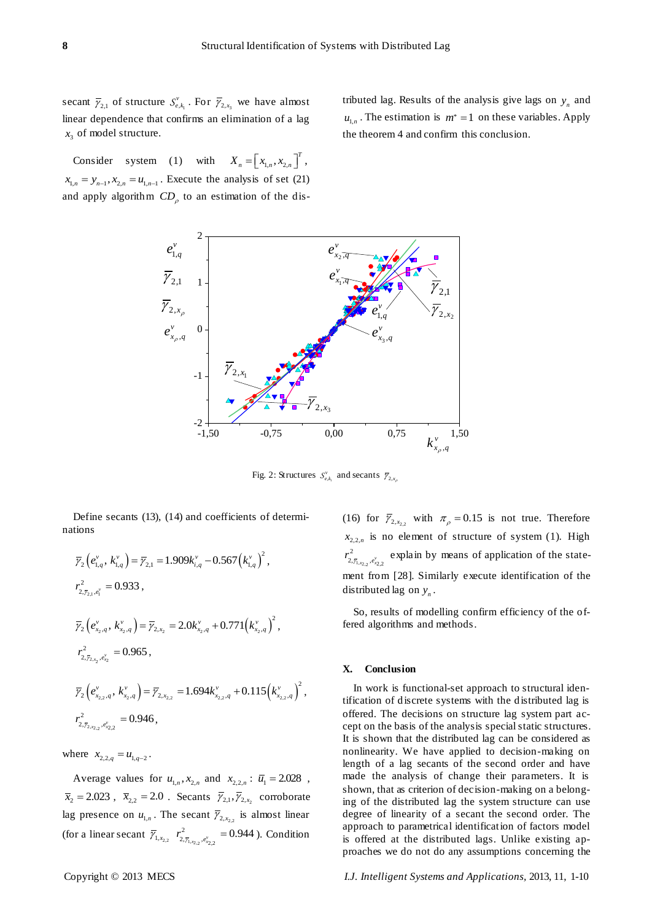secant  $\overline{\gamma}_{2,1}$  of structure  $S_{e,k_1}^v$ . For  $\overline{\gamma}_{2,x_3}$  we have almost linear dependence that confirms an elimination of a lag  $x_3$  of model structure.

Consider system (1) with  $X_n = \begin{bmatrix} x_{1,n}, x_{2,n} \end{bmatrix}^T$ ,  $x_{1,n} = y_{n-1}, x_{2,n} = u_{1,n-1}$ . Execute the analysis of set (21) and apply algorithm  $CD_{\rho}$  to an estimation of the dis-

tributed lag. Results of the analysis give lags on  $y_n$  and  $u_{1,n}$ . The estimation is  $m^* = 1$  on these variables. Apply the theorem 4 and confirm this conclusion.



Fig. 2: Structures  $S_{e,k_i}^v$  and secants  $\overline{\gamma}_{2,x_p}$ 

Define secants (13), (14) and coefficients of determinations

$$
\overline{\gamma}_{2} (e_{1,q}^{v}, k_{1,q}^{v}) = \overline{\gamma}_{2,1} = 1.909 k_{i,q}^{v} - 0.567 (k_{1,q}^{v})^{2},
$$
\n
$$
r_{2, \overline{\gamma}_{2,1}, e_{1}^{v}}^{2} = 0.933,
$$
\n
$$
\overline{\gamma}_{2} (e_{x_{2},q}^{v}, k_{x_{2},q}^{v}) = \overline{\gamma}_{2, x_{2}} = 2.0 k_{x_{2},q}^{v} + 0.771 (k_{x_{2},q}^{v})^{2},
$$
\n
$$
r_{2, \overline{\gamma}_{2, x_{2}, e_{x_{2}}^{v}}^{2} = 0.965,
$$
\n
$$
\overline{\gamma}_{2} (e_{x_{2},q}^{v}, k_{x_{2},q}^{v}) = \overline{\gamma}_{2, x_{2},2} = 1.694 k_{x_{2},q}^{v} + 0.115 (k_{x_{2},q}^{v})^{2},
$$
\n
$$
r_{2, \overline{\gamma}_{2, x_{2}, e_{x_{2},q}^{v}}^{2} = 0.946,
$$

where  $x_{2,2,q} = u_{1,q-2}$ .

Average values for  $u_{1,n}$ ,  $x_{2,n}$  and  $x_{2,2,n}$ :  $\overline{u}_1 = 2.028$ ,  $\bar{x}_2 = 2.023$ ,  $\bar{x}_{2,2} = 2.0$ . Secants  $\bar{y}_{2,1}, \bar{y}_{2,x_2}$  corroborate lag presence on  $u_{1,n}$ . The secant  $\overline{Y}_{2,x_{2,2}}$  is almost linear (for a linear secant  $\overline{\gamma}_{1,x_{2,2}}$   $r^2_{2,\overline{\gamma}_{1,x_{2,2}},e^{\nu}_{x_{2,2}}}$  $r_{2,\bar{\gamma}_{1,x_2},e_{x_2}^{\nu}}^2$  = 0.944 ). Condition

(16) for  $\overline{y}_{2,x_{2,2}}$  with  $\pi_{\rho} = 0.15$  is not true. Therefore  $x_{2,2,n}$  is no element of structure of system (1). High  $x_{1,x_{2,2}}$ <sup>, $e_{x_{2,2}}$ </sup>  $r_{2,\bar{r}_{1,x_2},e_{x_2}^{\nu}}^2$ , explain by means of application of the statement from [28]. Similarly execute identification of the distributed lag on  $y_n$ .

So, results of modelling confirm efficiency of the offered algorithms and methods.

## **X. Conclusion**

In work is functional-set approach to structural identification of discrete systems with the distributed lag is offered. The decisions on structure lag system part accept on the basis of the analysis special static structures. It is shown that the distributed lag can be considered as nonlinearity. We have applied to decision-making on length of a lag secants of the second order and have made the analysis of change their parameters. It is shown, that as criterion of decision-making on a belonging of the distributed lag the system structure can use degree of linearity of a secant the second order. The approach to parametrical identification of factors model is offered at the distributed lags. Unlike existing approaches we do not do any assumptions concerning the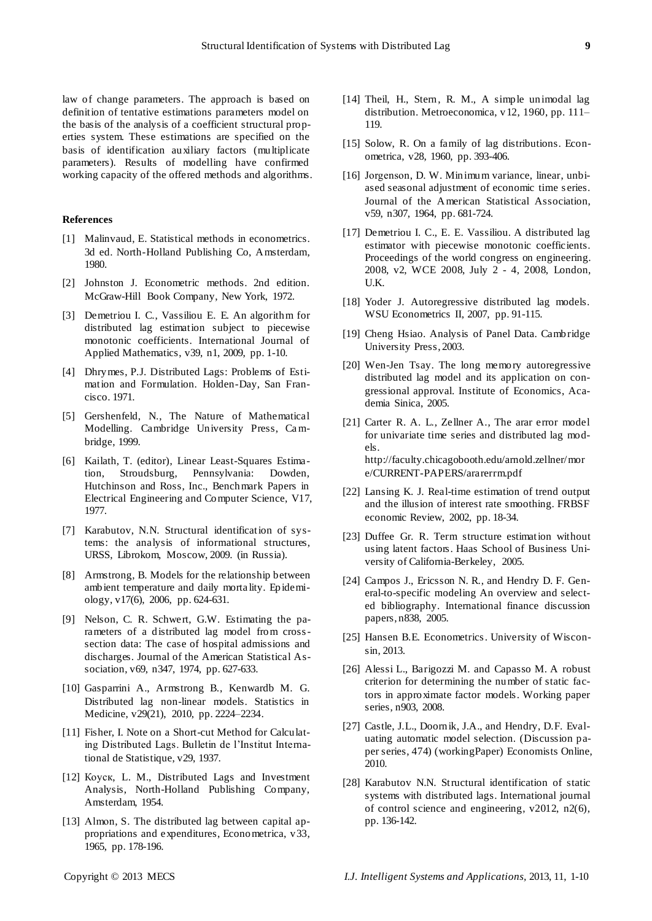law of change parameters. The approach is based on definition of tentative estimations parameters model on the basis of the analysis of a coefficient structural properties system. These estimations are specified on the basis of identification auxiliary factors (multiplicate parameters). Results of modelling have confirmed working capacity of the offered methods and algorithms.

## **References**

- [1] Malinvaud, E. Statistical methods in econometrics. 3d ed. North-Holland Publishing Co, Amsterdam, 1980.
- [2] [Johnston](http://www.worldcat.org/search?q=au%3AJohnston%2C+J.&qt=hot_author) J. Econometric methods. 2nd edition. McGraw-Hill Book Company, New York, 1972.
- [3] Demetriou I. C., Vassiliou E. E. An algorithm for distributed lag estimation subject to piecewise monotonic coefficients. International Journal of Applied Mathematics, v39, n1, 2009, pp. 1-10.
- [4] Dhrymes, P.J. Distributed Lags: Problems of Estimation and Formulation. Holden-Day, San Francisco. 1971.
- [5] Gershenfeld, N., The Nature of Mathematical Modelling. Cambridge University Press, Cambridge, 1999.
- [6] Kailath, T. (editor), Linear Least-Squares Estimation, Stroudsburg, Pennsylvania: Dowden, Hutchinson and Ross, Inc., Benchmark Papers in Electrical Engineering and Computer Science, V17, 1977.
- [7] Karabutov, N.N. Structural identification of systems: the analysis of informational structures, URSS, Librokom, Moscow, 2009. (in Russia).
- [8] Armstrong, B. Models for the relationship between ambient temperature and daily morta lity. Epidemiology, v17(6), 2006, pp. 624-631.
- [9] Nelson, C. R. Schwert, G.W. Estimating the parameters of a distributed lag model from crosssection data: The case of hospital admissions and discharges. Journal of the American Statistical Association, v69, n347, 1974, pp. 627-633.
- [10] Gasparrini A., Armstrong B., Kenwardb M. G. Distributed lag non-linear models. Statistics in Medicine, v29(21), 2010, pp. 2224–2234.
- [11] Fisher, I. Note on a Short-cut Method for Calculating Distributed Lags. Bulletin de l'Institut International de Statistique, v29, 1937.
- [12] Коуск, L. M., Distributed Lags and Investment Analysis, North-Holland Publishing Company, Amsterdam, 1954.
- [13] Almon, S. The distributed lag between capital appropriations and expenditures, Econometrica, v33, 1965, pp. 178-196.
- [14] Theil, H., Stern, R. M., A simple unimodal lag distribution. Metroeconomica, v12, 1960, pp. 111– 119.
- [15] Solow, R. On a family of lag distributions. Econometrica, v28, 1960, pp. 393-406.
- [16] Jorgenson, D. W. Minimum variance, linear, unbiased seasonal adjustment of economic time s eries. Journal of the American Statistical Association, v59, n307, 1964, pp. 681-724.
- [17] Demetriou I. C., E. E. Vassiliou. A distributed lag estimator with piecewise monotonic coefficients. Proceedings of the world congress on engineering. 2008, v2, WCE 2008, July 2 - 4, 2008, London, U.K.
- [18] Yoder J. Autoregressive distributed lag models. WSU Econometrics II, 2007, pp. 91-115.
- [19] Cheng Hsiao. Analysis of Panel Data. Cambridge University Press, 2003.
- [20] Wen-Jen Tsay. The long memory autoregressive distributed lag model and its application on congressional approval. Institute of Economics, Academia Sinica, 2005.
- [21] Carter R. A. L., Zellner A., The arar error model for univariate time series and distributed lag models. http://faculty.chicagobooth.edu/arnold.zellner/mor e/CURRENT-PAPERS/ararerrm.pdf
- [22] Lansing K. J. Real-time estimation of trend output and the illusion of interest rate smoothing. FRBSF economic Review, 2002, pp. 18-34.
- [23] Duffee Gr. R. Term structure estimation without using latent factors. Haas School of Business University of California-Berkeley, 2005.
- [24] Campos J., Ericsson N. R., and Hendry D. F. General-to-specific modeling An overview and selected bibliography. International finance discussion papers, n838, 2005.
- [25] Hansen B.E. Econometrics. University of Wisconsin, 2013.
- [26] Alessi L., Barigozzi M. and Capasso M. A robust criterion for determining the number of static factors in approximate factor models. Working paper series, n903, 2008.
- [27] Castle, J.L., Doornik, J.A., and Hendry, D.F. Evaluating automatic model selection. (Discussion paper series, 474) (workingPaper) Economists Online, 2010.
- [28] Karabutov N.N. Structural identification of static systems with distributed lags. International journal of control science and engineering, v2012, n2(6), pp. 136-142.